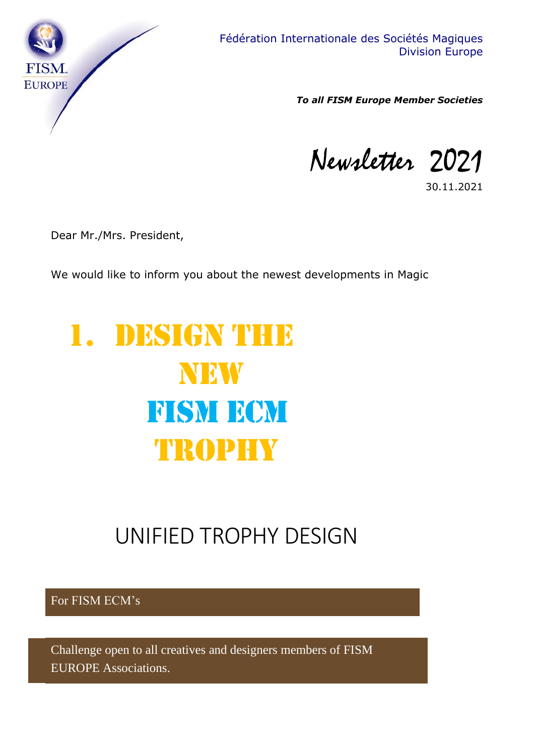

*To all FISM Europe Member Societies*

Newsletter 2021

30.11.2021

Dear Mr./Mrs. President,

We would like to inform you about the newest developments in Magic

# 1. DESIGN THE **NEW FISM ECM** TROPHY

### UNIFIED TROPHY DESIGN

For FISM ECM's

Challenge open to all creatives and designers members of FISM EUROPE Associations.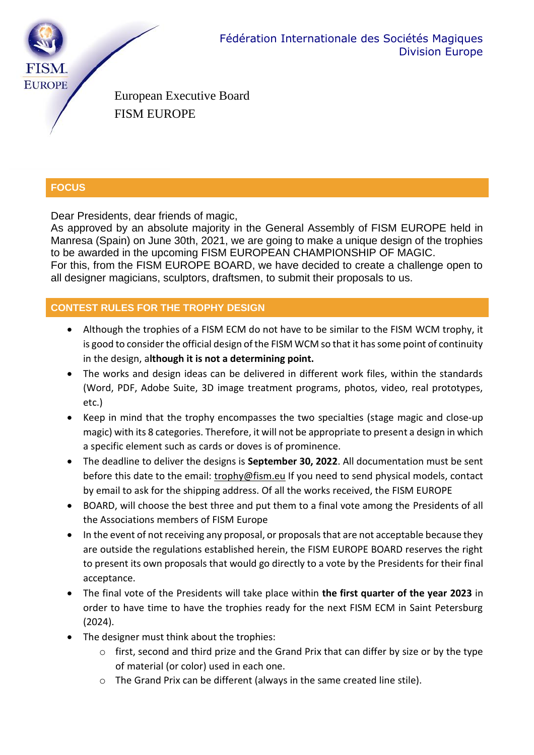

European Executive Board FISM EUROPE

#### **FOCUS**

Dear Presidents, dear friends of magic,

As approved by an absolute majority in the General Assembly of FISM EUROPE held in Manresa (Spain) on June 30th, 2021, we are going to make a unique design of the trophies to be awarded in the upcoming FISM EUROPEAN CHAMPIONSHIP OF MAGIC. For this, from the FISM EUROPE BOARD, we have decided to create a challenge open to all designer magicians, sculptors, draftsmen, to submit their proposals to us.

#### **CONTEST RULES FOR THE TROPHY DESIGN**

- Although the trophies of a FISM ECM do not have to be similar to the FISM WCM trophy, it is good to consider the official design of the FISM WCM so that it has some point of continuity in the design, a**lthough it is not a determining point.**
- The works and design ideas can be delivered in different work files, within the standards (Word, PDF, Adobe Suite, 3D image treatment programs, photos, video, real prototypes, etc.)
- Keep in mind that the trophy encompasses the two specialties (stage magic and close-up magic) with its 8 categories. Therefore, it will not be appropriate to present a design in which a specific element such as cards or doves is of prominence.
- The deadline to deliver the designs is **September 30, 2022**. All documentation must be sent before this date to the email: trophy@fism.eu If you need to send physical models, contact by email to ask for the shipping address. Of all the works received, the FISM EUROPE
- BOARD, will choose the best three and put them to a final vote among the Presidents of all the Associations members of FISM Europe
- In the event of not receiving any proposal, or proposals that are not acceptable because they are outside the regulations established herein, the FISM EUROPE BOARD reserves the right to present its own proposals that would go directly to a vote by the Presidents for their final acceptance.
- The final vote of the Presidents will take place within **the first quarter of the year 2023** in order to have time to have the trophies ready for the next FISM ECM in Saint Petersburg (2024).
- The designer must think about the trophies:
	- o first, second and third prize and the Grand Prix that can differ by size or by the type of material (or color) used in each one.
	- o The Grand Prix can be different (always in the same created line stile).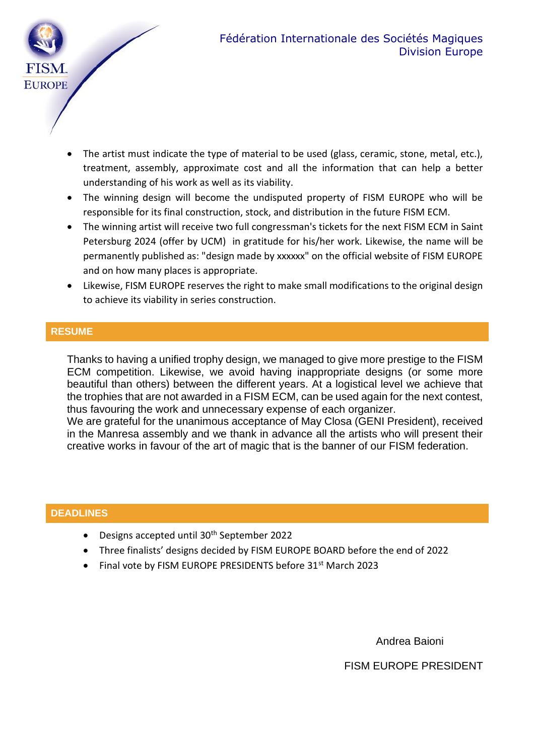

- The artist must indicate the type of material to be used (glass, ceramic, stone, metal, etc.), treatment, assembly, approximate cost and all the information that can help a better understanding of his work as well as its viability.
- The winning design will become the undisputed property of FISM EUROPE who will be responsible for its final construction, stock, and distribution in the future FISM ECM.
- The winning artist will receive two full congressman's tickets for the next FISM ECM in Saint Petersburg 2024 (offer by UCM) in gratitude for his/her work. Likewise, the name will be permanently published as: "design made by xxxxxx" on the official website of FISM EUROPE and on how many places is appropriate.
- Likewise, FISM EUROPE reserves the right to make small modifications to the original design to achieve its viability in series construction.

#### **RESUME**

Thanks to having a unified trophy design, we managed to give more prestige to the FISM ECM competition. Likewise, we avoid having inappropriate designs (or some more beautiful than others) between the different years. At a logistical level we achieve that the trophies that are not awarded in a FISM ECM, can be used again for the next contest, thus favouring the work and unnecessary expense of each organizer.

We are grateful for the unanimous acceptance of May Closa (GENI President), received in the Manresa assembly and we thank in advance all the artists who will present their creative works in favour of the art of magic that is the banner of our FISM federation.

#### **DEADLINES**

- Designs accepted until 30<sup>th</sup> September 2022
- Three finalists' designs decided by FISM EUROPE BOARD before the end of 2022
- Final vote by FISM EUROPE PRESIDENTS before 31<sup>st</sup> March 2023

Andrea Baioni

FISM EUROPE PRESIDENT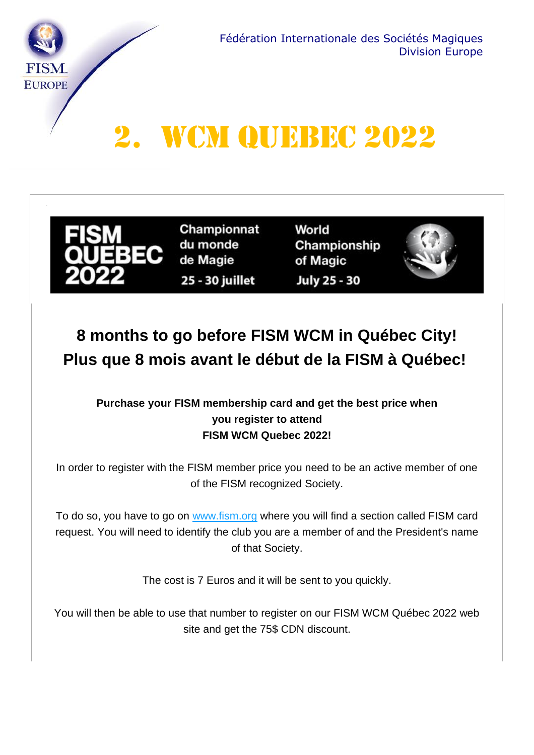

## 2. WCM QUEBEC 2022



Championnat du monde de Magie 25 - 30 juillet

World Championship of Magic July 25 - 30



### **8 months to go before FISM WCM in Québec City! Plus que 8 mois avant le début de la FISM à Québec!**

### **[Purchase](https://www.fismquebec2021.com/so/5fNrIboOc/c?w=Olo_5gX1uTZ97Uj5AWw_9DribmogZQx1e0vQAIBs1A4.eyJ1IjoiaHR0cHM6Ly93d3cuZmlzbS5vcmciLCJyIjoiOWQ4OWRhMjYtZWQ5NC00MzViLTBhZWMtYzE4MTlmNTJmY2ZlIiwibSI6Im1haWwiLCJjIjoiZjI3N2I1YTAtNDZlNS00YWIwLWI1NDgtODM5NzQwMjJhNDYyIn0) your FISM membership card and get the best price when you register to attend FISM WCM Quebec 2022!**

In order to register with the FISM member price you need to be an active member of one of the FISM recognized Society.

To do so, you have to go on [www.fism.org](https://www.fismquebec2021.com/so/5fNrIboOc/c?w=Olo_5gX1uTZ97Uj5AWw_9DribmogZQx1e0vQAIBs1A4.eyJ1IjoiaHR0cHM6Ly93d3cuZmlzbS5vcmciLCJyIjoiOWQ4OWRhMjYtZWQ5NC00MzViLTBhZWMtYzE4MTlmNTJmY2ZlIiwibSI6Im1haWwiLCJjIjoiZjI3N2I1YTAtNDZlNS00YWIwLWI1NDgtODM5NzQwMjJhNDYyIn0) where you will find a section called FISM card request. You will need to identify the club you are a member of and the President's name of that Society.

The cost is 7 Euros and it will be sent to you quickly.

You will then be able to use that number to register on our FISM WCM Québec 2022 web site and get the 75\$ CDN discount.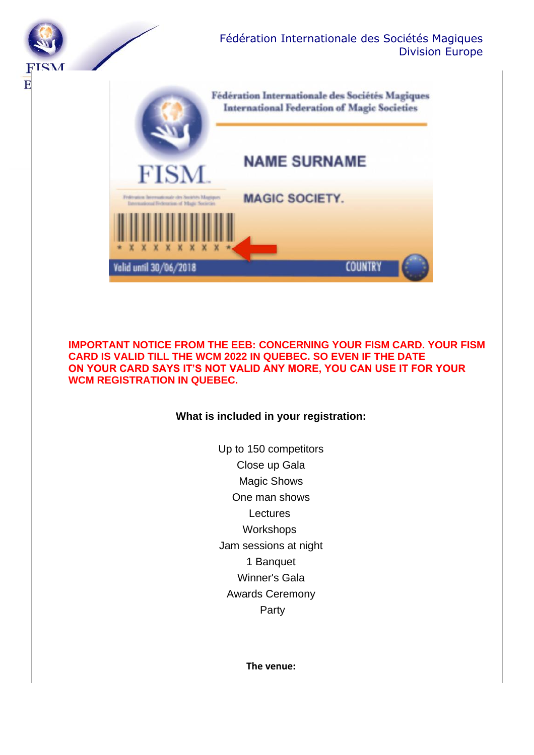

**IMPORTANT NOTICE FROM THE EEB: CONCERNING YOUR FISM CARD. YOUR FISM CARD IS VALID TILL THE WCM 2022 IN QUEBEC. SO EVEN IF THE DATE ON YOUR CARD SAYS IT'S NOT VALID ANY MORE, YOU CAN USE IT FOR YOUR WCM REGISTRATION IN QUEBEC.**

#### **What is included in your registration:**

Up to 150 competitors Close up Gala Magic Shows One man shows Lectures **Workshops** Jam sessions at night 1 Banquet Winner's Gala Awards Ceremony Party

**The venue:**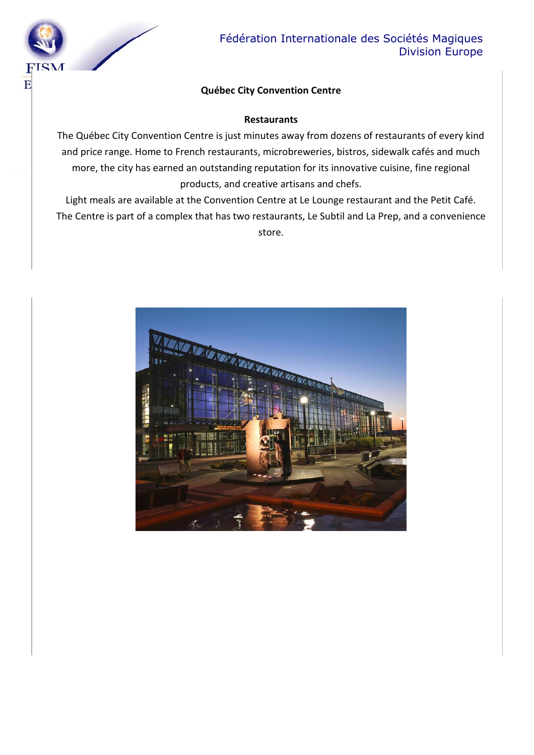

#### Fédération Internationale des Sociétés Magiques Division Europe

#### **Québec City Convention Centre**

#### **Restaurants**

The Québec City Convention Centre is just minutes away from dozens of restaurants of every kind and price range. Home to French restaurants, microbreweries, bistros, sidewalk cafés and much more, the city has earned an outstanding reputation for its innovative cuisine, fine regional products, and creative artisans and chefs.

Light meals are available at the Convention Centre at Le Lounge restaurant and the Petit Café. The Centre is part of a complex that has two restaurants, Le Subtil and La Prep, and a convenience store.

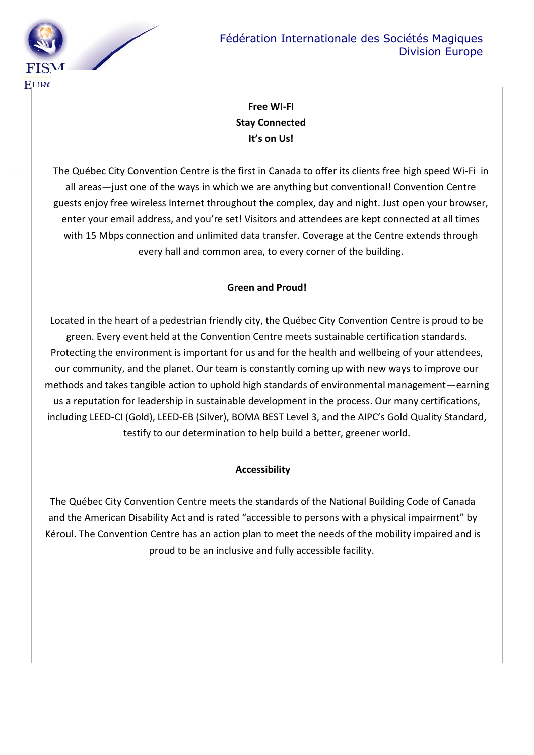

### **Free WI-FI Stay Connected It's on Us!**

The Québec City Convention Centre is the first in Canada to offer its clients free high speed Wi-Fi in all areas—just one of the ways in which we are anything but conventional! Convention Centre guests enjoy free wireless Internet throughout the complex, day and night. Just open your browser, enter your email address, and you're set! Visitors and attendees are kept connected at all times with 15 Mbps connection and unlimited data transfer. Coverage at the Centre extends through every hall and common area, to every corner of the building.

#### **Green and Proud!**

Located in the heart of a pedestrian friendly city, the Québec City Convention Centre is proud to be green. Every event held at the Convention Centre meets sustainable certification standards. Protecting the environment is important for us and for the health and wellbeing of your attendees, our community, and the planet. Our team is constantly coming up with new ways to improve our methods and takes tangible action to uphold high standards of environmental management—earning us a reputation for leadership in sustainable development in the process. Our many certifications, including LEED-CI (Gold), LEED-EB (Silver), BOMA BEST Level 3, and the AIPC's Gold Quality Standard, testify to our determination to help build a better, greener world.

#### **Accessibility**

The Québec City Convention Centre meets the standards of the National Building Code of Canada and the American Disability Act and is rated "accessible to persons with a physical impairment" by Kéroul. The Convention Centre has an action plan to meet the needs of the mobility impaired and is proud to be an inclusive and fully accessible facility.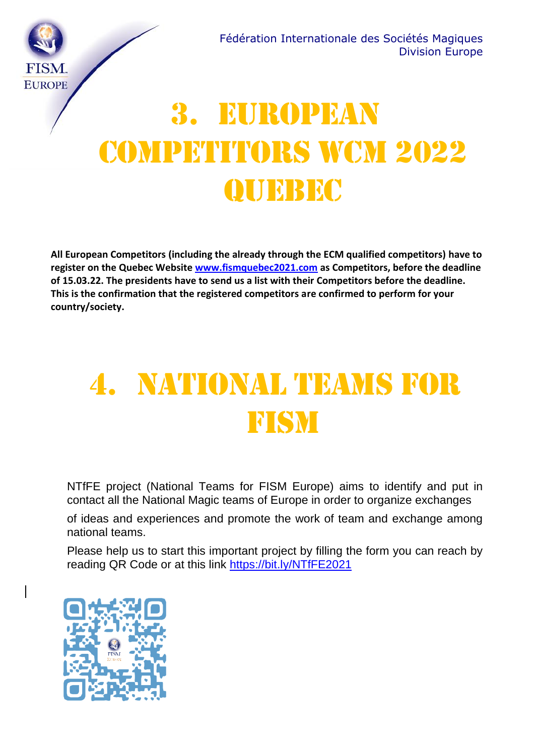

# 3. EUROPEAN COMPETITORS WCM 2022 **QUEBEC**

**All European Competitors (including the already through the ECM qualified competitors) have to register on the Quebec Website [www.fismquebec2021.com](http://www.fismquebec2021.com/) as Competitors, before the deadline of 15.03.22. The presidents have to send us a list with their Competitors before the deadline. This is the confirmation that the registered competitors are confirmed to perform for your country/society.**

## 4. NATIONAL TEAMS FOR **FISM**

NTfFE project (National Teams for FISM Europe) aims to identify and put in contact all the National Magic teams of Europe in order to organize exchanges

of ideas and experiences and promote the work of team and exchange among national teams.

Please help us to start this important project by filling the form you can reach by reading QR Code or at this link <https://bit.ly/NTfFE2021>